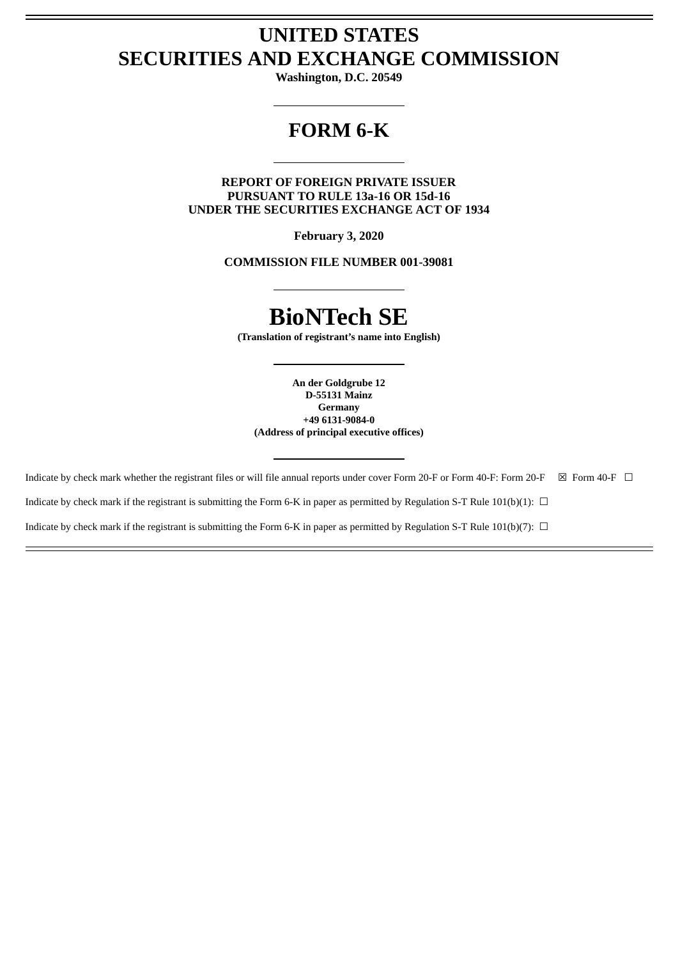# **UNITED STATES SECURITIES AND EXCHANGE COMMISSION**

**Washington, D.C. 20549**

# **FORM 6-K**

**REPORT OF FOREIGN PRIVATE ISSUER PURSUANT TO RULE 13a-16 OR 15d-16 UNDER THE SECURITIES EXCHANGE ACT OF 1934**

**February 3, 2020**

**COMMISSION FILE NUMBER 001-39081**

# **BioNTech SE**

**(Translation of registrant's name into English)**

**An der Goldgrube 12 D-55131 Mainz Germany +49 6131-9084-0 (Address of principal executive offices)**

Indicate by check mark whether the registrant files or will file annual reports under cover Form 20-F or Form 40-F: Form 20-F  $\boxtimes$  Form 40-F  $\Box$ 

Indicate by check mark if the registrant is submitting the Form 6-K in paper as permitted by Regulation S-T Rule 101(b)(1):  $\Box$ 

Indicate by check mark if the registrant is submitting the Form 6-K in paper as permitted by Regulation S-T Rule 101(b)(7):  $\Box$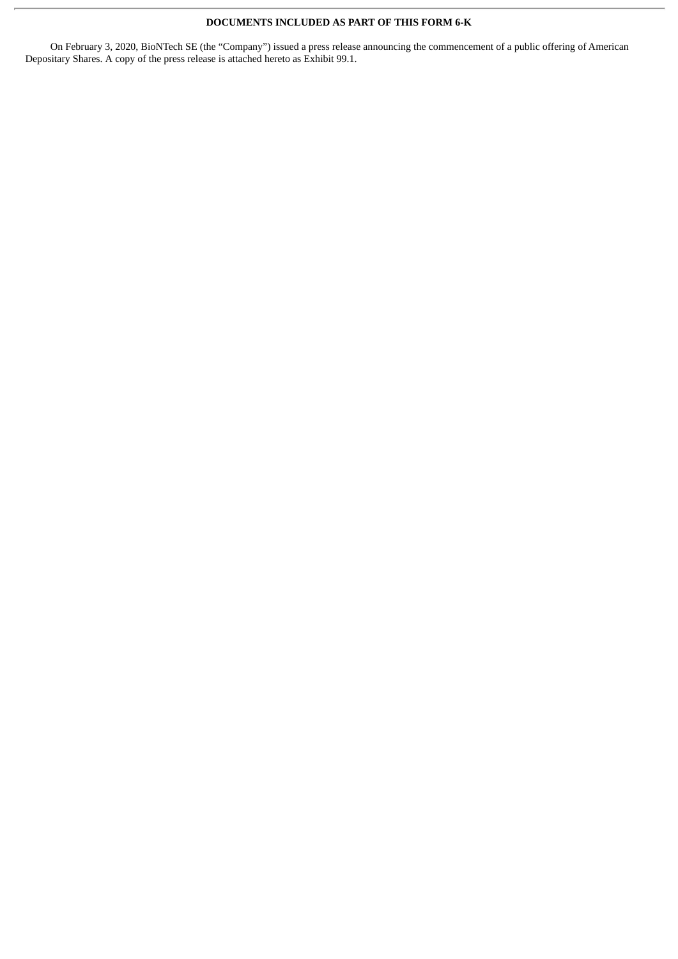## **DOCUMENTS INCLUDED AS PART OF THIS FORM 6-K**

On February 3, 2020, BioNTech SE (the "Company") issued a press release announcing the commencement of a public offering of American Depositary Shares. A copy of the press release is attached hereto as Exhibit 99.1.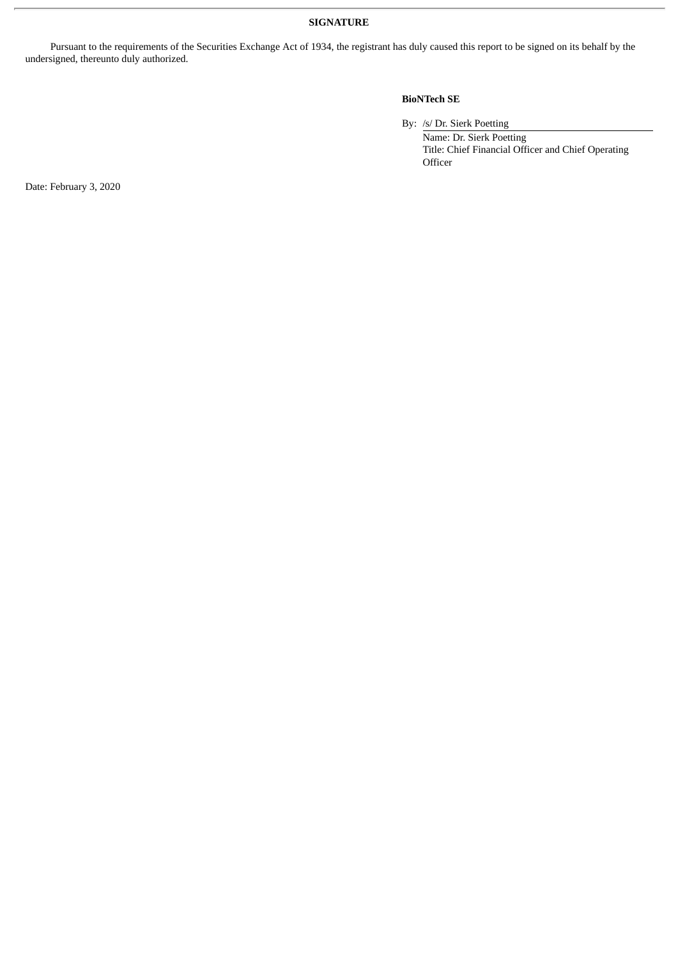## **SIGNATURE**

Pursuant to the requirements of the Securities Exchange Act of 1934, the registrant has duly caused this report to be signed on its behalf by the undersigned, thereunto duly authorized.

## **BioNTech SE**

By: /s/ Dr. Sierk Poetting

Name: Dr. Sierk Poetting Title: Chief Financial Officer and Chief Operating **Officer** 

Date: February 3, 2020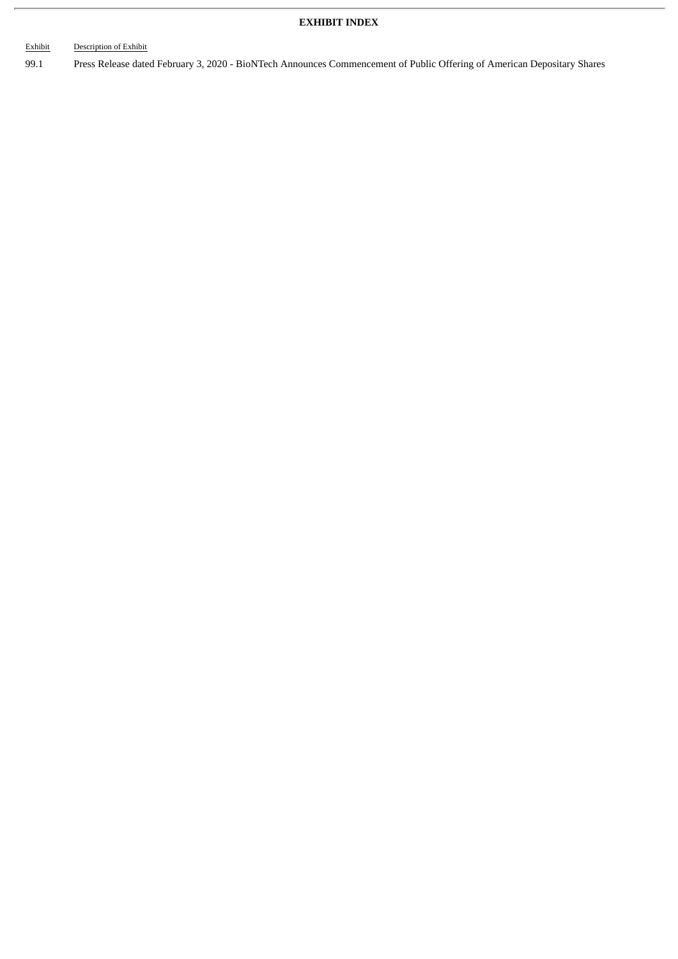## **EXHIBIT INDEX**

## Exhibit Description of Exhibit

99.1 Press Release dated February 3, 2020 - BioNTech Announces Commencement of Public Offering of American Depositary Shares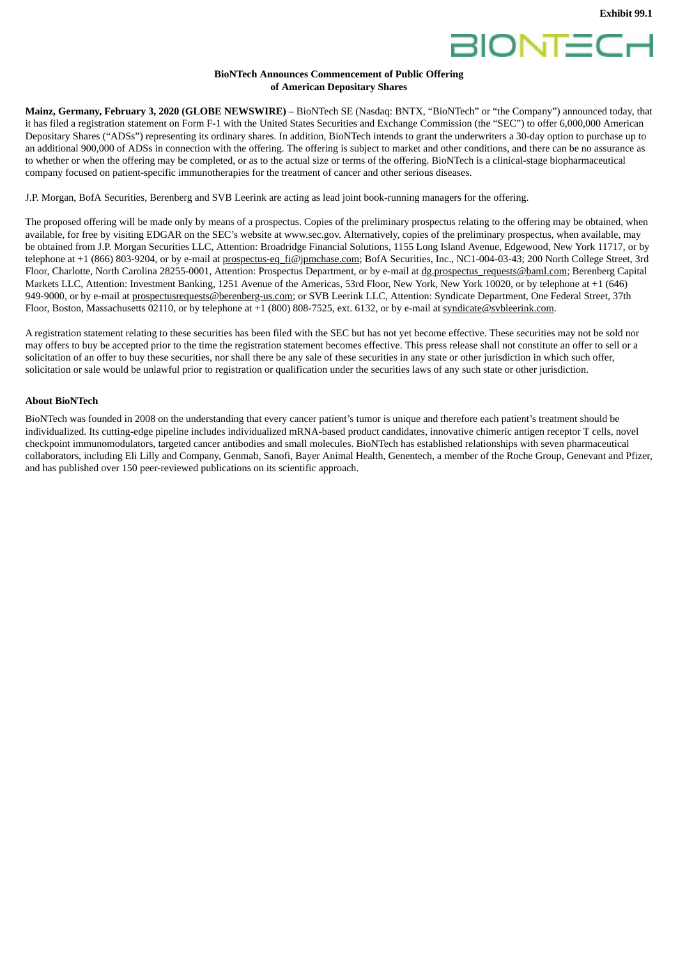



### **BioNTech Announces Commencement of Public Offering of American Depositary Shares**

**Mainz, Germany, February 3, 2020 (GLOBE NEWSWIRE)** – BioNTech SE (Nasdaq: BNTX, "BioNTech" or "the Company") announced today, that it has filed a registration statement on Form F-1 with the United States Securities and Exchange Commission (the "SEC") to offer 6,000,000 American Depositary Shares ("ADSs") representing its ordinary shares. In addition, BioNTech intends to grant the underwriters a 30-day option to purchase up to an additional 900,000 of ADSs in connection with the offering. The offering is subject to market and other conditions, and there can be no assurance as to whether or when the offering may be completed, or as to the actual size or terms of the offering. BioNTech is a clinical-stage biopharmaceutical company focused on patient-specific immunotherapies for the treatment of cancer and other serious diseases.

J.P. Morgan, BofA Securities, Berenberg and SVB Leerink are acting as lead joint book-running managers for the offering.

The proposed offering will be made only by means of a prospectus. Copies of the preliminary prospectus relating to the offering may be obtained, when available, for free by visiting EDGAR on the SEC's website at www.sec.gov. Alternatively, copies of the preliminary prospectus, when available, may be obtained from J.P. Morgan Securities LLC, Attention: Broadridge Financial Solutions, 1155 Long Island Avenue, Edgewood, New York 11717, or by telephone at +1 (866) 803-9204, or by e-mail at prospectus-eq fi@jpmchase.com; BofA Securities, Inc., NC1-004-03-43; 200 North College Street, 3rd Floor, Charlotte, North Carolina 28255-0001, Attention: Prospectus Department, or by e-mail at dg.prospectus requests@baml.com; Berenberg Capital Markets LLC, Attention: Investment Banking, 1251 Avenue of the Americas, 53rd Floor, New York, New York 10020, or by telephone at +1 (646) 949-9000, or by e-mail at prospectusrequests@berenberg-us.com; or SVB Leerink LLC, Attention: Syndicate Department, One Federal Street, 37th Floor, Boston, Massachusetts 02110, or by telephone at +1 (800) 808-7525, ext. 6132, or by e-mail at syndicate@svbleerink.com.

A registration statement relating to these securities has been filed with the SEC but has not yet become effective. These securities may not be sold nor may offers to buy be accepted prior to the time the registration statement becomes effective. This press release shall not constitute an offer to sell or a solicitation of an offer to buy these securities, nor shall there be any sale of these securities in any state or other jurisdiction in which such offer, solicitation or sale would be unlawful prior to registration or qualification under the securities laws of any such state or other jurisdiction.

## **About BioNTech**

BioNTech was founded in 2008 on the understanding that every cancer patient's tumor is unique and therefore each patient's treatment should be individualized. Its cutting-edge pipeline includes individualized mRNA-based product candidates, innovative chimeric antigen receptor T cells, novel checkpoint immunomodulators, targeted cancer antibodies and small molecules. BioNTech has established relationships with seven pharmaceutical collaborators, including Eli Lilly and Company, Genmab, Sanofi, Bayer Animal Health, Genentech, a member of the Roche Group, Genevant and Pfizer, and has published over 150 peer-reviewed publications on its scientific approach.